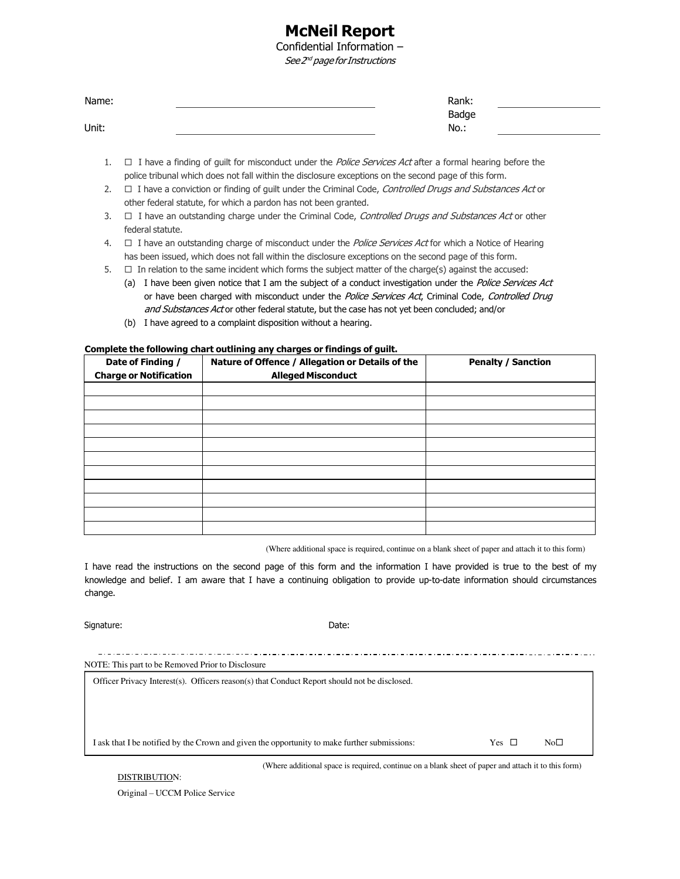# **McNeil Report**

Confidential Information – See 2<sup>nd</sup> page for Instructions

| Name: | Rank: |  |
|-------|-------|--|
|       | Badge |  |
| Unit: | No.:  |  |

- 1.  $\Box$  I have a finding of guilt for misconduct under the *Police Services Act* after a formal hearing before the police tribunal which does not fall within the disclosure exceptions on the second page of this form.
- 2.  $\Box$  I have a conviction or finding of guilt under the Criminal Code, Controlled Drugs and Substances Act or other federal statute, for which a pardon has not been granted.
- 3.  $\Box$  I have an outstanding charge under the Criminal Code, *Controlled Drugs and Substances Act* or other federal statute.
- 4.  $\Box$  I have an outstanding charge of misconduct under the *Police Services Act* for which a Notice of Hearing has been issued, which does not fall within the disclosure exceptions on the second page of this form.
- 5.  $\Box$  In relation to the same incident which forms the subject matter of the charge(s) against the accused:
	- (a) I have been given notice that I am the subject of a conduct investigation under the Police Services Act or have been charged with misconduct under the Police Services Act, Criminal Code, Controlled Drug and Substances Act or other federal statute, but the case has not yet been concluded; and/or
	- (b) I have agreed to a complaint disposition without a hearing.

#### **Complete the following chart outlining any charges or findings of guilt.**

| Date of Finding /<br><b>Charge or Notification</b> | Nature of Offence / Allegation or Details of the<br><b>Alleged Misconduct</b> | <b>Penalty / Sanction</b> |
|----------------------------------------------------|-------------------------------------------------------------------------------|---------------------------|
|                                                    |                                                                               |                           |
|                                                    |                                                                               |                           |
|                                                    |                                                                               |                           |
|                                                    |                                                                               |                           |
|                                                    |                                                                               |                           |
|                                                    |                                                                               |                           |
|                                                    |                                                                               |                           |
|                                                    |                                                                               |                           |
|                                                    |                                                                               |                           |
|                                                    |                                                                               |                           |
|                                                    |                                                                               |                           |

(Where additional space is required, continue on a blank sheet of paper and attach it to this form)

I have read the instructions on the second page of this form and the information I have provided is true to the best of my knowledge and belief. I am aware that I have a continuing obligation to provide up-to-date information should circumstances change.

Signature: Date: Date: Date: Date: Date: Date: Date: Date: Date: Date: Date: Date: Date: Date: Date: Date: Date: Date: Date: Date: Date: Date: Date: Date: Date: Date: Date: Date: Date: Date: Date: Date: Date: Date: Date: D

| NOTE: This part to be Removed Prior to Disclosure                                            |            |                 |  |  |  |  |
|----------------------------------------------------------------------------------------------|------------|-----------------|--|--|--|--|
| Officer Privacy Interest(s). Officers reason(s) that Conduct Report should not be disclosed. |            |                 |  |  |  |  |
|                                                                                              |            |                 |  |  |  |  |
|                                                                                              |            |                 |  |  |  |  |
|                                                                                              |            |                 |  |  |  |  |
| I ask that I be notified by the Crown and given the opportunity to make further submissions: | Yes $\Box$ | No <sub>1</sub> |  |  |  |  |
|                                                                                              |            |                 |  |  |  |  |

(Where additional space is required, continue on a blank sheet of paper and attach it to this form)

DISTRIBUTION:

Original – UCCM Police Service